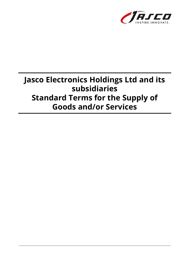

# **Jasco Electronics Holdings Ltd and its subsidiaries Standard Terms for the Supply of Goods and/or Services**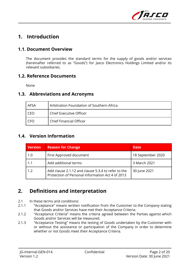

# **1. Introduction**

### **1.1. Document Overview**

The document provides the standard terms for the supply of goods and/or services (hereinafter referred to as "Goods") for Jasco Electronics Holdings Limited and/or its relevant subsidiaries.

#### **1.2. Reference Documents**

None

#### **1.3. Abbreviations and Acronyms**

| AFSA | Arbitration Foundation of Southern Africa |
|------|-------------------------------------------|
| CEO  | Chief Executive Officer                   |
| CEO  | Chief Financial Officer                   |

### **1.4. Version Information**

| <b>Version</b> | <b>Reason for Change</b>                                                                               | <b>Date</b>       |
|----------------|--------------------------------------------------------------------------------------------------------|-------------------|
| 1.0            | First Approved document                                                                                | 18 September 2020 |
| 1.1            | Add additional terms                                                                                   | 3 March 2021      |
| 1.2            | Add clause 2.1.12 and clause 5.3.4 to refer to the<br>Protection of Personal Information Act 4 of 2013 | 30 June 2021      |

# **2. Definitions and interpretation**

- 2.1 In these terms and conditions:
- 2.1.1 "Acceptance" means written notification from the Customer to the Company stating that Goods and/or Services have met their Acceptance Criteria.
- 2.1.2 "Acceptance Criteria" means the criteria agreed between the Parties against which Goods and/or Services will be measured.
- 2.1.3 "Acceptance Testing" means the testing of Goods undertaken by the Customer with or without the assistance or participation of the Company in order to determine whether or not Goods meet their Acceptance Criteria.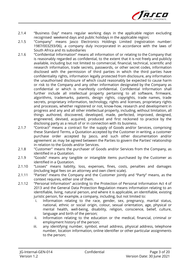

- 2.1.4 "Business Day" means regular working days in the applicable region excluding recognised weekend days and public holidays in the applicable region;
- 2.1.5 "Company" means Jasco Electronics Holdings Limited (registration number: 1987/003293/06), a company duly incorporated in accordance with the laws of South Africa and its subsidiaries
- 2.1.6 "Confidential Information" means all information of or relating to the Company that is reasonably regarded as confidential, to the extent that it is not freely and publicly available, including but not limited to commercial, financial, technical, scientific and research information, trade secrets, passwords, or other secret codes, information disclosed with the permission of third parties in which the third parties have confidentiality rights, information legally protected from disclosure, any information the unauthorised disclosure of which could reasonably be expected to cause harm or risk to the Company and any other information designated by the Company as confidential or which is manifestly confidential. Confidential Information shall further include all intellectual property pertaining to all software, firmware, algorithms, trademarks, patents, design rights, copyrights, trade names, trade secrets, proprietary information, technology, rights and licenses, proprietary rights and processes, whether registered or not, know-how, research and development in progress and any and all other intellectual property, including, without limitation, all things authored, discovered, developed, made, perfected, improved, designed, engineered, devised, acquired, produced and first reckoned to practice by the disclosing party as a result of or in connection with its business.
- 2.1.7 "Contract" means a contract for the supply of Goods and/or Services, comprising these Standard Terms, a Quotation accepted by the Customer in writing, a customer purchase order accepted by Jasco, and such other documentation and/or agreement as may be agreed between the Parties to govern the Parties' relationship in relation to the Goods and/or Services.
- 2.1.8 "Customer" means the purchaser of Goods and/or Services from the Company, as identified in a Quotation.
- 2.1.9 "Goods" means any tangible or intangible items purchased by the Customer as identified in a Quotation.
- 2.1.10 "Losses" means liability, loss, expenses, fines, costs, penalties and damages (including legal fees on an attorney and own client scale).
- 2.1.11 "Parties" means the Company and the Customer jointly and "Party" means, as the context requires, either one of them.
- 2.1.12 "Personal Information" according to the Protection of Personal Information Act 4 of 2013 and the General Data Protection Regulation means information relating to an identifiable, living, natural person, and where it is applicable, an identifiable, existing juristic person, for example, a company, including, but not limited to:
	- i. Information relating to the race, gender, sex, pregnancy, marital status, national, ethnic or social origin, colour, sexual orientation, age, physical or mental health, well-being, disability, religion, conscience, belief, culture, language and birth of the person;
	- ii. Information relating to the education or the medical, financial, criminal or employment history of the person;
	- iii. any identifying number, symbol, email address, physical address, telephone number, location information, online identifier or other particular assignments to the person;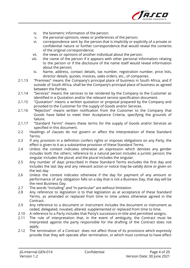

- iv. the biometric information of the person;
- v. the personal opinions, views or preferences of the person;
- vi. correspondence sent by the person that is implicitly or explicitly of a private or confidential nature or further correspondence that would reveal the contents of the original correspondence;
- vii. the views or opinions of another individual about the person;
- viii. the name of the person if it appears with other personal information relating to the person or if the disclosure of the name itself would reveal information about the person;
	- ix. Name, address, contact details, tax number, registration number, price lists, director details, quotes, invoices, sales orders, etc., of companies.
- 2.1.13 "Premises" means the Company's principal place of business in South Africa, and if outside of South Africa, shall be the Company's principal place of business as agreed between the Parties.
- 2.1.14 "Services" means the services to be rendered by the Company to the Customer as identified in a Quotation and/or the relevant service specification document.
- 2.1.15 "Quotation" means a written quotation or proposal prepared by the Company and provided to the Customer for the supply of Goods and/or Services.
- 2.1.16 "Rejection" means written notification from the Customer to the Company that Goods have failed to meet their Acceptance Criteria, specifying the grounds of failure.
- 2.1.17 "Standard Terms" means these terms for the supply of Goods and/or Services as specified in this document.
- 2.2 Headings of clauses do not govern or affect the interpretation of these Standard Terms.
- 2.3 If any provision in a definition confers rights or imposes obligations on any Party, the effect is given to it as a substantive provision of these Standard Terms.
- 2.4 Unless the context indicates otherwise an expression which denotes any gender includes both the others; reference to a natural person includes a juristic person; the singular includes the plural, and the plural includes the singular.
- 2.5 Any number of days prescribed in these Standard Terms excludes the first day and includes the last day and any relevant action or notice may be validly done or given on the last day.
- 2.6 Unless the context indicates otherwise if the day for payment of any amount or performance of any obligation falls on a day that is not a Business Day, that day will be the next Business Day.
- 2.7 The words "including" and "in particular" are without limitation.
- 2.8 Any reference to legislation is to that legislation as at acceptance of these Standard Terms, as amended or replaced from time to time unless otherwise agreed in the Contract.
- 2.9 Any reference to a document or instrument includes the document or instrument as ceded, delegated, novated, altered, supplemented or replaced from time to time.
- 2.10 A reference to a Party includes that Party's successors-in-title and permitted assigns.
- 2.11 The rule of interpretation that, in the event of ambiguity, the Contract must be interpreted against the party responsible for the drafting of the Contract does not apply.
- 2.12 The termination of a Contract does not affect those of its provisions which expressly provide that they will operate after termination, or which must continue to have effect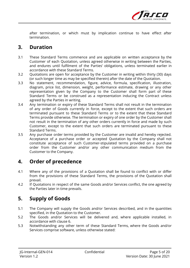

after termination, or which must by implication continue to have effect after termination.

### **3. Duration**

- 3.1 These Standard Terms commence and are applicable on written acceptance by the Customer of each Quotation, unless agreed otherwise in writing between the Parties, and endures until fulfilment of the Parties' obligations, unless terminated earlier in accordance with these Standard Terms.
- 3.2 Quotations are open for acceptance by the Customer in writing within thirty (30) days (or such longer time as may be specified therein) after the date of the Quotation.
- 3.3 No statement, recommendation, figure, advice, formula, specification, illustration, diagram, price list, dimension, weight, performance estimate, drawing or any other representation given by the Company to the Customer shall form part of these Standard Terms or be construed as a representation inducing the Contract unless agreed by the Parties in writing.
- 3.4 Any termination or expiry of these Standard Terms shall not result in the termination of any order of Goods currently in force, except to the extent that such orders are terminated pursuant to these Standard Terms or to the extent that these Standard Terms provide otherwise. The termination or expiry of one order by the Customer shall not result in the termination of any other orders currently in force and made by such Customer, except to the extent that such orders are terminated pursuant to these Standard Terms.
- 3.5 Any purchase order terms provided by the Customer are invalid and hereby rejected. Acceptance of a purchase order or accepted Quotation by the Company shall not constitute acceptance of such Customer-stipulated terms provided on a purchase order from the Customer and/or any other communication medium from the Customer to the Company.

# **4. Order of precedence**

- 4.1 Where any of the provisions of a Quotation shall be found to conflict with or differ from the provisions of these Standard Terms, the provisions of the Quotation shall prevail.
- 4.2 If Quotations in respect of the same Goods and/or Services conflict, the one agreed by the Parties later in time prevails.

# **5. Supply of Goods**

- 5.1 The Company will supply the Goods and/or Services described, and in the quantities specified, in the Quotation to the Customer.
- 5.2 The Goods and/or Services will be delivered and, where applicable installed, in accordance with clause 6.
- 5.3 Notwithstanding any other term of these Standard Terms, where the Goods and/or Services comprise software, unless otherwise stated: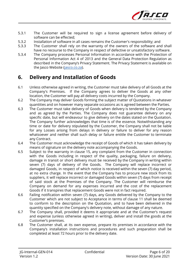

- 5.3.1 The Customer will be required to sign a license agreement before delivery of software can be effected;
- 5.3.2 Installation of software in all cases remains the Customer's responsibility; and
- 5.3.3 The Customer shall rely on the warranty of the owners of the software and shall have no recourse to the Company in respect of defective or unsatisfactory software.
- 5.3.4 The Company processes Personal Information in accordance with the Protection of Personal Information Act 4 of 2013 and the General Data Protection Regulation as described in the Company's Privacy Statement. The Privacy Statement is available on the Jasco Website (*jasco.co.za*).

# **6. Delivery and Installation of Goods**

- 6.1 Unless otherwise agreed in writing, the Customer must take delivery of all Goods at the Company's Premises. If the Company agrees to deliver the Goods at any other location, the Customer will pay all delivery costs incurred by the Company.
- 6.2 The Company may deliver Goods forming the subject matter of Quotations in whatever quantities and on however many separate occasions as is agreed between the Parties.
- 6.3 The Customer must take delivery of Goods when delivery is tendered by the Company and as agreed by the Parties. The Company does not guarantee delivery on any specific date, but will endeavour to give delivery on the dates stated on the Quotation. The Company further acknowledges that time is of the essence. Notwithstanding any time or date for delivery stipulated by the Customer, the Company shall not be liable for any Losses arising from delays in delivery or failure to deliver for any reason whatsoever and neither shall such delay or failure entitle the Customer to terminate any Contract.
- 6.4 The Customer must acknowledge the receipt of Goods of which it has taken delivery by means of signature on the delivery note accompanying the Goods.
- 6.5 Subject to the warranty in clause 15, any complaint from the Customer in connection with the Goods including in respect of the quality, packaging, failure on delivery, damage in transit or short delivery must be received by the Company in writing within seven (7) days of delivery of the Goods. The Company will replace incorrect or damaged Goods, in respect of which notice is received within the seven (7) day period, at no extra charge. In the event that the Company has to procure new stock from its suppliers, it will replace incorrect or damaged Goods within seven (7) days from receipt of said stock at the Premises of the Company. The Customer will reimburse the Company on demand for any expenses incurred and the cost of the replacement Goods if it transpires that replacement Goods were not in fact required.
- 6.6 Failing notification within seven (7) days, any Goods delivered by the Company to the Customer which are not subject to Acceptance in terms of clause 11 shall be deemed to conform to the description on the Quotation, and to have been delivered in the quantity specified on the Company's delivery note, without damage of any nature.
- 6.7 The Company shall, provided it deems it appropriate and at the Customer's request and expense (unless otherwise agreed in writing), deliver and install the goods at the Customer's premises.
- 6.8 The Customer shall, at its own expense, prepare its premises in accordance with the Company's installation instructions and procedures and such preparation shall be completed at least 72 hours prior to the delivery date.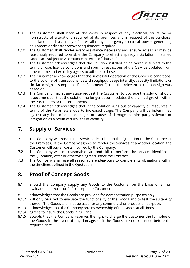

- 6.9 The Customer shall bear all the costs in respect of any electrical, structural or non-structural alterations required at its premises and in respect of the purchase, installation and assembly of inter alia any emergency electrical power generating equipment or disaster recovery equipment, required.
- 6.10 The Customer shall render every assistance necessary and ensure access as may be reasonably required to enable the Company to effect a speedy installation. Installed Goods are subject to Acceptance in terms of clause 12.
- 6.11 The Customer acknowledges that the Solution installed or delivered is subject to the terms of use, licence conditions and specific restrictions of the OEM as updated from time-to-time and explicitly agrees to adhere to these.
- 6.12 The Customer acknowledges that the successful operation of the Goods is conditional to the volume of transactions, data throughput, usage intensity, capacity limitations or similar design assumptions ("the Parameters") that the relevant solution design was based on.
- 6.13 The Company may at any stage request The Customer to upgrade the solution should it become clear that the solution no longer accommodates the planned growth within the Parameters or the components.
- 6.14 The Customer acknowledges that if the Solution runs out of capacity or resources in terms of the Parameters due to increased usage, The Company will be indemnified against any loss of data, damages or cause of damage to third party software or integration as a result of such lack of capacity.

# **7. Supply of Services**

- 7.1 The Company will render the Services described in the Quotation to the Customer at the Premises. If the Company agrees to render the Services at any other location, the Customer will pay all costs incurred by the Company.
- 7.2 The Company will use reasonable care and skill to perform the services identified in the Quotation, offer or otherwise agreed under the Contract.
- 7.3 The Company shall use all reasonable endeavours to complete its obligations within the timelines defined in the Quotation.

# **8. Proof of Concept Goods**

- 8.1 Should the Company supply any Goods to the Customer on the basis of a trial, evaluation and/or proof of concept, the Customer:
- 8.1.1 acknowledges that the Goods are provided for demonstration purposes only,
- 8.1.2 will only be used to evaluate the functionality of the Goods and to test the suitability thereof. The Goods shall not be used for any commercial or production purpose,
- 8.1.3 acknowledges that the Company retains ownership of the Goods at all times,
- 8.1.4 agrees to insure the Goods in full, and
- 8.1.5 accepts that the Company reserves the right to charge the Customer the full value of the Goods in the event of any damage, or if the Goods are not returned before the required date.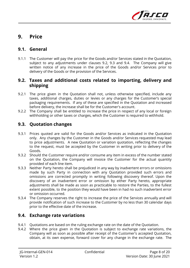

# **9. Price**

#### **9.1. General**

9.1.1 The Customer will pay the price for the Goods and/or Services stated in the Quotation, subject to any adjustments under clauses 9.2, 9.3 and 9.4. The Company will give written notice of any increase in the price of the Goods and/or Services prior to delivery of the Goods or the provision of the Services.

#### **9.2. Taxes and additional costs related to importing, delivery and shipping**

- 9.2.1 The price given in the Quotation shall not, unless otherwise specified, include any taxes, additional charges, duties or levies or any charges for the Customer's special packaging requirements. If any of these are specified in the Quotation and increased before delivery, the increase shall be for the Customer's account.
- 9.2.2 The Company shall be entitled to increase the price in respect of any local or foreign withholding or other taxes or charges, which the Customer is required to withhold.

#### **9.3. Quotation changes**

- 9.3.1 Prices quoted are valid for the Goods and/or Services as indicated in the Quotation only. Any changes by the Customer in the Goods and/or Services requested may lead to price adjustments. A new Quotation or variation quotation, reflecting the changes to the request, must be accepted by the Customer in writing prior to delivery of the Goods.
- 9.3.2 Should the Customer require and/or consume any item in excess of the number stated on the Quotation, the Company will invoice the Customer for the actual quantity provided of each line item.
- 9.3.3 Neither Party hereto shall be prejudiced in any way by inadvertent errors or omissions made by such Party in connection with any Quotation provided such errors and omissions are corrected promptly in writing following discovery thereof. Upon the discovery of an inadvertent error or omission by either Party hereto, appropriate adjustments shall be made as soon as practicable to restore the Parties, to the fullest extent possible, to the position they would have been in had no such inadvertent error or omission occurred.
- 9.3.4 The Company reserves the right to increase the price of the Services annually and will provide notification of such increase to the Customer by no less than 30 calendar days prior to the effective date of the increase.

### **9.4. Exchange rate variations**

- 9.4.1 Quotations are based on the ruling exchange rate on the date of the Quotation.
- 9.4.2 Where the price given in the Quotation is subject to exchange rate variations, the Company will as soon as possible after receipt of the Customer's accepted Quotation, obtain, at its own expense, forward cover for any change in the exchange rate. The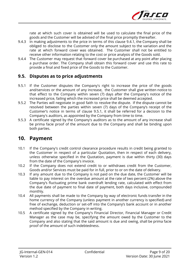

rate at which such cover is obtained will be used to calculate the final price of the goods and the Customer will be advised of the final price promptly thereafter.

- 9.4.3 In making adjustments to the price in terms of this clause 9.4.1, the Company shall be obliged to disclose to the Customer only the amount subject to the variation and the rate at which forward cover was obtained. The Customer shall not be entitled to receive other information relating to the cost or price analysis of the Goods sold.
- 9.4.4 The Customer may request that forward cover be purchased at any point after placing a purchase order. The Company shall obtain this forward cover and use this rate to provide a final and fixed price of the Goods to the Customer.

#### **9.5. Disputes as to price adjustments**

- 9.5.1 If the Customer disputes the Company's right to increase the price of the goods and/services or the amount of any increase, the Customer shall give written notice to that effect to the Company within seven (7) days after the Company's notice of the increased price, failing which the increased price shall be deemed accepted.
- 9.5.2 The Parties will negotiate in good faith to resolve the dispute. If the dispute cannot be resolved between the parties within seven (7) days of the Company's receipt of the Customer's notice in terms of clause 9.5.1, it shall be referred for a decision to the Company's auditors, as appointed by the Company from time to time.
- 9.5.3 A certificate signed by the Company's auditors as to the amount of any increase shall be prima facie proof of the amount due to the Company and shall be binding upon both parties.

### **10. Payment**

- 10.1 If the Company's credit control clearance procedure results in credit being granted to the Customer in respect of a particular Quotation, then in respect of each delivery, unless otherwise specified in the Quotation, payment is due within thirty (30) days from the date of the Company's invoice.
- 10.2 If the Company does not extend credit to or withdraws credit from the Customer, Goods and/or Services must be paid for in full, prior to or on the date of delivery.
- 10.3 If any amount due to the Company is not paid on the due date, the Customer will be liable to pay interest on the overdue amount at the rate of two percent (2%) above the Company's fluctuating prime bank overdraft lending rate, calculated with effect from the due date of payment to final date of payment, both days inclusive, compounded monthly.
- 10.4 All payments shall be made to the Company by way of electronic funds transfer in the home currency of the Company (unless payment in another currency is specified) and free of exchange, deduction or set-off into the Company's bank account or in another method specified by the Company in writing.
- 10.5 A certificate signed by the Company's Financial Director, Financial Manager or Credit Manager as the case may be, specifying the amount owed by the Customer to the Company and also stating that the said amount is due and owing, shall be prima facie proof of the amount of such indebtedness.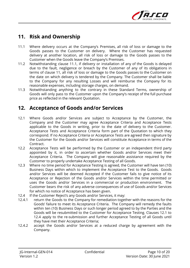

# **11. Risk and Ownership**

- 11.1 Where delivery occurs at the Company's Premises, all risk of loss or damage to the Goods passes to the Customer on delivery. Where the Customer has requested delivery at another location, all risk of loss or damage to the Goods passes to the Customer when the Goods leave the Company's Premises.
- 11.2 Notwithstanding clause 11.1, if delivery or installation of any of the Goods is delayed due to the fault, negligence or breach by the Customer of any of its obligations in terms of clause 11, all risk of loss or damage to the Goods passes to the Customer on the date on which delivery is tendered by the Company. The Customer shall be liable to the Company for any resulting Losses and will reimburse the Company for its reasonable expenses, including storage charges, on demand.
- 11.3 Notwithstanding anything to the contrary in these Standard Terms, ownership of Goods will only pass to the Customer upon the Company's receipt of the full purchase price as reflected in the relevant Quotation.

### **12. Acceptance of Goods and/or Services**

- 12.1 Where Goods and/or Services are subject to Acceptance by the Customer, the Company and the Customer may agree Acceptance Criteria and Acceptance Tests applicable to the Goods in writing, prior to the date of delivery to the Customer. Acceptance Tests and Acceptance Criteria form part of the Quotation to which they correspond. If no Acceptance Criteria or Acceptance Tests are agreed then signature by the Customer for the Goods and/or Services will constitute Acceptance in terms of the Contract.
- 12.2 Acceptance Tests will be performed by the Customer or an independent third party appointed by it, in order to ascertain whether Goods and/or Services meet their Acceptance Criteria. The Company will give reasonable assistance required by the Customer to properly undertake Acceptance Testing of all Goods.
- 12.3 Where no time period for Acceptance Testing is agreed, the Customer will have ten (10) Business Days within which to implement the Acceptance Test to the Goods. Goods and/or Services will be deemed Accepted if the Customer fails to give notice of its Acceptance or Rejection of the Goods and/or Services within the time permitted or uses the Goods and/or Services in a commercial or production environment. The Customer bears the risk of any adverse consequences of use of Goods and/or Services for which no notice of Acceptance has been given.
- 12.4 If the Customer Reject's any Goods and/or Services, it may:
- 12.4.1 return the Goods to the Company for remediation together with the reasons for the Goods' failure to meet its Acceptance Criteria. The Company will remedy the faults within ten (10) Business Days or such longer period agreed to by the Parties and the Goods will be resubmitted to the Customer for Acceptance Testing. Clauses 12.1 to 12.4 apply to the re-submission and further Acceptance Testing of all Goods until they have met their Acceptance Criteria;
- 12.4.2 accept the Goods and/or Services at a reduced charge by agreement with the Company.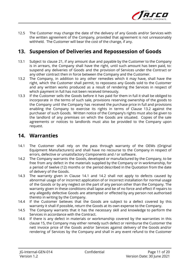

12.5 The Customer may change the date of the delivery of any Goods and/or Services with the written agreement of the Company, provided that agreement is not unreasonably withheld. The Customer will bear the cost of the change, if any.

### **13. Suspension of Deliveries and Repossession of Goods**

- 13.1 Subject to clause 21, if any amount due and payable by the Customer to the Company is in arrears, the Company shall have the right, until such amount has been paid, to: suspend any deliveries of Goods and the provision of Services under the Contract or any other contract then in force between the Company and the Customer.
- 13.2 The Company, in addition to any other remedies which it may have, shall have the right, which the Customer shall permit, to repossess any Goods sold to the Customer and any written works produced as a result of rendering the Services in respect of which payment in full has not been received timeously.
- 13.3 If the Customer sells the Goods before it has paid for them in full it shall be obliged to incorporate in the terms of such sale, provisions reserving ownership of the goods to the Company until the Company has received the purchase price in full and provisions enabling the Company to exercise its rights in terms of Clause 13.2 against the purchaser of such Goods. Written notice of the Company's rights must also be given to the landlord of any premises on which the Goods are situated. Copies of the sale agreements or notices to landlords must also be provided to the Company upon request.

### **14. Warranties**

- 14.1 The Customer shall rely on the pass through warranty of the OEMs (Original Equipment Manufacturers) and shall have no recourse to the Company in respect of errors, defective or unsatisfactory Components and / or software.
- 14.2 The Company warrants the Goods, developed or manufactured by the Company, to be free from any defect in the materials supplied by the Company or in workmanship, for a period of twelve (12) months or the period described in the Quotation from the date of delivery of the Goods.
- 14.3 The warranty given in Clause 14.1 and 14.2 shall not apply to defects caused by abnormal usage of or incorrect application of or incorrect installation for normal usage of the Goods or by any neglect on the part of any person other than the Company. The warranty given in these conditions shall lapse and be of no force and effect if repairs to any allegedly defective Goods are attempted or effected by any person not authorised thereto in writing by the Company.
- 14.4 If the Customer believes that the Goods are subject to a defect covered by this warranty it shall if possible, return the Goods at its own expense to the Company.
- 14.5 The Company warrants that it has the necessary skill and knowledge to perform the Services in accordance with the Contract.
- 14.6 If there is any defect in materials or workmanship covered by the warranties in this clause 15, the Company may either remedy such defect or reimburse the Customer the nett invoice price of the Goods and/or Services against delivery of the Goods and/or rendering of Services by the Company and shall in any event refund to the Customer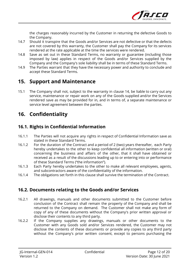

the charges reasonably incurred by the Customer in returning the defective Goods to the Company.

- 14.7 Should it transpire that the Goods and/or Services are not defective or that the defects are not covered by this warranty, the Customer shall pay the Company for its services rendered at the rate applicable at the time the services were rendered.
- 14.8 Save as set out in these Standard Terms, no warranty or guarantee (including those imposed by law) applies in respect of the Goods and/or Services supplied by the Company and the Company's sole liability shall be in terms of these Standard Terms.
- 14.9 The Parties warrant that they have the necessary power and authority to conclude and accept these Standard Terms.

### **15. Support and Maintenance**

15.1 The Company shall not, subject to the warranty in clause 14, be liable to carry out any service, maintenance or repair work on any of the Goods supplied and/or the Services rendered save as may be provided for in, and in terms of, a separate maintenance or service level agreement between the parties.

# **16. Confidentiality**

### **16.1. Rights in Confidential Information**

- 16.1.1 The Parties will not acquire any rights in respect of Confidential Information save as stated in these Standard Terms.
- 16.1.2 For the duration of the Contract and a period of 2 (two) years thereafter, each Party hereby undertakes to the other to keep confidential all information (written or oral) concerning the business and affairs of the other, that it shall have obtained or received as a result of the discussions leading up to or entering into or performance of these Standard Terms ("the information").
- 16.1.3 Each Party hereby undertakes to the other to make all relevant employees, agents, and subcontractors aware of the confidentiality of the information.
- 16.1.4 The obligations set forth in this clause shall survive the termination of the Contract.

### **16.2. Documents relating to the Goods and/or Services**

- 16.2.1 All drawings, manuals and other documents submitted to the Customer before conclusion of the Contract shall remain the property of the Company and shall be returned to the Company on demand. The Customer shall not make any form of copy of any of these documents without the Company's prior written approval or disclose their contents to any third party.
- 16.2.2 If the Company supplies any drawings, manuals or other documents to the Customer with any Goods sold and/or Services rendered, the Customer may not disclose the contents of these documents or provide any copies to any third party without the Company's prior written consent, except to persons purchasing the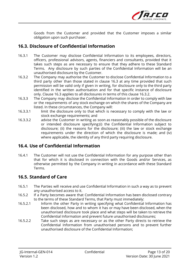

Goods from the Customer and provided that the Customer imposes a similar obligation upon such purchaser.

### **16.3. Disclosure of Confidential Information**

- 16.3.1 The Customer may disclose Confidential Information to its employees, directors, officers, professional advisors, agents, financiers and consultants, provided that it takes such steps as are necessary to ensure that they adhere to these Standard Terms. Any disclosure by such parties of the Confidential Information will be an unauthorised disclosure by the Customer.
- 16.3.2 The Company may authorise the Customer to disclose Confidential Information to a third party other than those stated in clause 16.3 at any time provided that such permission will be valid only if given in writing, for disclosure only to the third party identified in the written authorisation and for that specific instance of disclosure only. Clause 16.3 applies to all disclosures in terms of this clause 16.3.2.
- 16.3.3 The Company may disclose the Confidential Information in order to comply with law or the requirements of any stock exchange on which the shares of the Company are listed. In these circumstances, the Company will:
- 16.3.3.1 limit the disclosure only to that which is necessary to comply with the law or stock exchange requirements; and
- 16.3.3.2 advise the Customer in writing as soon as reasonably possible of the disclosure or intended disclosure specifying:(i) the Confidential Information subject to disclosure; (ii) the reasons for the disclosure; (iii) the law or stock exchange requirements under the direction of which the disclosure is made; and (iv) where applicable, the identity of any third party requiring disclosure.

### **16.4. Use of Confidential Information**

16.4.1 The Customer will not use the Confidential Information for any purpose other than that for which it is disclosed in connection with the Goods and/or Services, as otherwise permitted by the Company in writing in accordance with these Standard Terms.

### **16.5. Standard of Care**

- 16.5.1 The Parties will receive and use Confidential Information in such a way as to prevent any unauthorised access to it.
- 16.5.2 If a Party becomes aware that Confidential Information has been disclosed contrary to the terms of these Standard Terms, that Party must immediately:
- 16.5.2.1 Inform the other Party in writing specifying what Confidential Information has been disclosed, how and to whom it has or may have been disclosed, when the unauthorised disclosure took place and what steps will be taken to retrieve the Confidential Information and prevent future unauthorised disclosures;
- 16.5.2.2 Take such steps as are necessary or as the other Party directs to retrieve the Confidential Information from unauthorised persons and to prevent further unauthorised disclosure of the Confidential Information;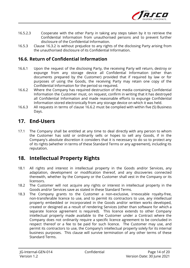

- 16.5.2.3 Cooperate with the other Party in taking any steps taken by it to retrieve the Confidential Information from unauthorised persons and to prevent further disclosure of the Confidential Information.
- 16.5.3 Clause 16.3.2 is without prejudice to any rights of the disclosing Party arising from the unauthorised disclosure of its Confidential Information.

### **16.6. Return of Confidential Information**

- 16.6.1 Upon the request of the disclosing Party, the receiving Party will return, destroy or expunge from any storage device all Confidential Information (other than documents prepared by the Customer) provided that if required by law or for purposes of using the Goods, the receiving Party may retain one copy of the Confidential Information for the period so required.
- 16.6.2 Where the Company has required destruction of the media containing Confidential Information the Customer must, on request, confirm in writing that it has destroyed all Confidential Information and made reasonable efforts to expunge Confidential Information stored electronically from any storage device on which it was held.
- 16.6.3 All requests in terms of clause 16.6.2 must be complied with within five (5) Business Days.

### **17. End-Users**

17.1 The Company shall be entitled at any time to deal directly with any person to whom the Customer has sold or ordinarily sells or hopes to sell any Goods, if in the Company's absolute discretion it considers that it is necessary to do so to protect any of its rights (whether in terms of these Standard Terms or any agreement), including its reputation.

# **18. Intellectual Property Rights**

- 18.1 All rights and interest in intellectual property in the Goods and/or Services, any adaptation, development or modification thereof, and any discoveries connected therewith, whether by the Company or the Customer shall vest in the Company or its licensors.
- 18.2 The Customer will not acquire any rights or interest in intellectual property in the Goods and/or Services save as stated in these Standard Terms.
- 18.3 The Company grants to the Customer a non-exclusive, irrevocable royalty-free, non-transferable licence to use, and to permit its contractors to use, any intellectual property embedded or incorporated in the Goods and/or written works developed, created or designed as a result of rendering Services (other than software for which a separate licence agreement is required). This licence extends to other Company intellectual property made available to the Customer under a Contract where the Company does not ordinarily require a specific licence agreement to be concluded in respect thereof or a fee to be paid for such licence. The Customer may use, and permit its contractors to use, the Company's intellectual property solely for its internal business purposes. This clause will survive termination of any other terms of these Standard Terms.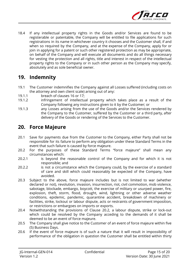

18.4 If any intellectual property rights in the Goods and/or Services are found to be registerable or patentable, the Company will be entitled to file applications for such registrations in its name in whichever country it chooses and the Customer shall, if and when so required by the Company, and at the expense of the Company, apply for or join in applying for a patent or such other registered protection as may be appropriate, on behalf of the Company and will execute all documents and do all things necessary for vesting the protection and all rights, title and interest in respect of the intellectual property rights to the Company or in such other person as the Company may specify, absolutely and as sole beneficial owner.

# **19. Indemnity**

- 19.1 The Customer indemnifies the Company against all Losses suffered (including costs on the attorney and own client scale) arising out of any:
- 19.1.1 breach of clauses 16 or 17;
- 19.1.2 infringement of intellectual property which takes place as a result of the Company following any instructions given to it by the Customer; or
- 19.1.3 any Losses arising from the use of the Goods and/or the Services rendered by the Company to the Customer, suffered by the Customer or a third party, after delivery of the Goods or rendering of the Services to the Customer.

### **20. Force Majeure**

- 20.1 Save for payments due from the Customer to the Company, either Party shall not be responsible for its failure to perform any obligation under these Standard Terms in the event that such failure is caused by force majeure.
- 20.2 For the purposes of these Standard Terms "force majeure" shall mean any circumstances which:
- 20.2.1 is beyond the reasonable control of the Company and for which it is not responsible; and
- 20.2.2 is not a circumstance which the Company could, by the exercise of a standard of care and skill which could reasonably be expected of the Company, have avoided.
- 20.3 Subject to the above, force majeure includes but is not limited to war (whether declared or not), revolution, invasion, insurrection, riot, civil commotion, mob violence, sabotage, blockade, embargo, boycott, the exercise of military or usurped power, fire, explosion, theft, storm, flood, drought, wind, lightning or other adverse weather conditions, epidemic, pandemic, quarantine accident, breakdown of machinery or facilities, strike, lockout or labour dispute, acts or restraints of government imposition, or restrictions or embargoes on imports or exports.
- 20.4 Notwithstanding the provisions of Clause 20.2, a labour dispute, strike or lock-out which could be resolved by the Company acceding to the demands of it shall be deemed to be an event of force majeure.
- 20.5 The Company shall give notice to the Customer of an event of force majeure within five (5) Business Days.
- 20.6 If the event of force majeure is of such a nature that it will result in impossibility of performance of the obligation in question the Customer shall be entitled within thirty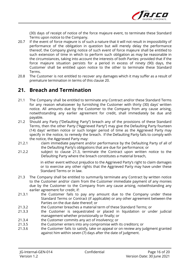

(30) days of receipt of notice of the force majeure event, to terminate these Standard Terms upon notice to the Company.

- 20.7 If the event of force majeure is of such a nature that it will not result in impossibility of performance of the obligation in question but will merely delay the performance thereof, the Company giving notice of such event of force majeure shall be entitled to such extension of time in which to perform such obligation as may be reasonable in the circumstances, taking into account the interests of both Parties: provided that if the force majeure situation persists for a period in excess of ninety (90) days, the Customer shall be entitled upon notice to the other to terminate these Standard Terms.
- 20.8 The Customer is not entitled to recover any damages which it may suffer as a result of premature termination in terms of this clause 20.

### **21. Breach and Termination**

- 21.1 The Company shall be entitled to terminate any Contract and/or these Standard Terms for any reason whatsoever by furnishing the Customer with thirty (30) days' written notice. All amounts due by the Customer to the Company from any cause arising, notwithstanding any earlier agreement for credit, shall immediately be due and payable.
- 21.2 Should any Party ("Defaulting Party") breach any of the provisions of these Standard Terms, then the other Party ("Aggrieved Party") may give the Defaulting Party fourteen (14) days' written notice or such longer period of time as the Aggrieved Party may specify in the notice, to remedy the breach. If the Defaulting Party fails to comply with the notice, the Aggrieved Party may:
- 21.2.1 claim immediate payment and/or performance by the Defaulting Party of all of the Defaulting Party's obligations that are due for performance; or
- 21.2.2 subject to clause 21.3, terminate the Contract upon written notice to the Defaulting Party where the breach constitutes a material breach,

in either event without prejudice to the Aggrieved Party's right to claim damages or to exercise any other rights that the Aggrieved Party may have under these Standard Terms or in law.

- 21.3 The Company shall be entitled to summarily terminate any Contract by written notice to the Customer and/or claim from the Customer immediate payment of any monies due by the Customer to the Company from any cause arising, notwithstanding any earlier agreement for credit, if:
- 21.3.1 the Customer fails to pay any amount due to the Company under these Standard Terms or Contract (if applicable) or any other agreement between the Parties on the due date thereof; or
- 21.3.2 the Customer breaches a material term of these Standard Terms; or
- 21.3.3 the Customer is sequestrated or placed in liquidation or under judicial management whether provisionally or finally; or
- 21.3.4 the Customer commits any act of insolvency; or
- 21.3.5 the Customer enters into any compromise with its creditors; or
- 21.3.6 the Customer fails to satisfy, take on appeal or on review any judgment granted against him within seven (7) days after the date of judgment.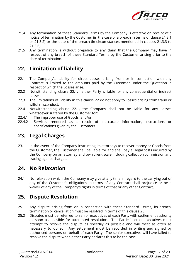

- 21.4 Any termination of these Standard Terms by the Company is effective on receipt of a notice of termination by the Customer (in the case of a breach in terms of clause 21.3.1 or 21.3.2) or the date of the breach (in circumstances mentioned in clauses 21.3.3 to 21.3.6).
- 21.5 Any termination is without prejudice to any claim that the Company may have in respect of any breach of these Standard Terms by the Customer arising prior to the date of termination.

# **22. Limitation of liability**

- 22.1 The Company's liability for direct Losses arising from or in connection with any Contract is limited to the amounts paid by the Customer under the Quotation in respect of which the Losses arise.
- 22.2 Notwithstanding clause 22.1, neither Party is liable for any consequential or indirect Losses.
- 22.3 The limitations of liability in this clause 22 do not apply to Losses arising from fraud or wilful misconduct.
- 22.4 Notwithstanding clause 22.1, the Company shall not be liable for any Losses whatsoever suffered by the Customer for:
- 22.4.1 The improper use of Goods; and/or
- 22.4.2 Services rendered as a result of inaccurate information, instructions or specifications given by the Customers.

# **23. Legal Charges**

23.1 In the event of the Company instructing its attorneys to recover money or Goods from the Customer, the Customer shall be liable for and shall pay all legal costs incurred by the Company on an attorney and own client scale including collection commission and tracing agents charges.

### **24. No Relaxation**

24.1 No relaxation which the Company may give at any time in regard to the carrying out of any of the Customer's obligations in terms of any Contract shall prejudice or be a waiver of any of the Company's rights in terms of that or any other Contract.

# **25. Dispute Resolution**

- 25.1 Any dispute arising from or in connection with these Standard Terms, its breach, termination or cancellation must be resolved in terms of this clause 25.
- 25.2 Disputes must be referred to senior executives of each Party with settlement authority as soon as possible for attempted resolution. The Parties' senior executives must attempt to resolve the dispute as speedily as possible and will meet as often as necessary to do so. Any settlement must be recorded in writing and signed by authorised persons on behalf of each Party. The senior executives will have failed to resolve the dispute when either Party declares this to be the case.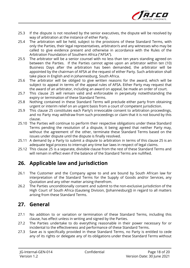

- 25.3 If the dispute is not resolved by the senior executives, the dispute will be resolved by way of arbitration at the instance of either Party.
- 25.4 The arbitration will be held, subject to the provisions of these Standard Terms, with only the Parties, their legal representatives, arbitrator/s and any witnesses who may be called to give evidence present and otherwise in accordance with the Rules of the Arbitration Foundation of Southern Africa ("AFSA").
- 25.5 The arbitrator will be a senior counsel with no less than ten years standing agreed on between the Parties. If the Parties cannot agree upon an arbitrator within ten (10) Business Days after the arbitration has been demanded, the arbitrator will be appointed by the chairman of AFSA at the request of either Party. Such arbitration shall take place in English and in Johannesburg, South Africa.
- 25.6 The arbitrator will be obliged to give written reasons for the award, which will be subject to appeal in terms of the appeal rules of AFSA. Either Party may request that the award of an arbitrator, including an award on appeal, be made an order of court.
- 25.7 This clause 25 will remain valid and enforceable in perpetuity notwithstanding the expiry or termination of these Standard Terms.
- 25.8 Nothing contained in these Standard Terms will preclude either party from obtaining urgent or interim relief on an urgent basis from a court of competent jurisdiction.
- 25.9 This clause 25 constitutes each Party's irrevocable consent to arbitration proceedings, and no Party may withdraw from such proceedings or claim that it is not bound by this clause.
- 25.10 The Parties will continue to perform their respective obligations under these Standard Terms pending the resolution of a dispute, it being agreed that neither Party may, without the agreement of the other, terminate these Standard Terms based on the issues under dispute until the dispute is finally resolved.
- 25.11 A demand by a Party to submit a dispute to arbitration in terms of this clause 25 is an adequate legal process to interrupt any time bar laws in respect of legal claims.
- 25.12 This clause 25 is a separate, divisible clause from the rest of these Standard Terms and will remain in effect even if the balance of the Standard Terms are nullified.

# **26. Applicable law and jurisdiction**

- 26.1 The Customer and the Company agree to and are bound by South African law for interpretation of the Standard Terms for the Supply of Goods and/or Services, any Quotation and any other matter arising therefrom.
- 26.2 The Parties unconditionally consent and submit to the non-exclusive jurisdiction of the High Court of South Africa (Gauteng Division, [Johannesburg]) in regard to all matters arising from these Standard Terms.

# **27. General**

- 27.1 No addition to or variation or termination of these Standard Terms, including this clause, has effect unless in writing and signed by the Parties.
- 27.2 The Parties undertake to do everything reasonable in their power necessary for or incidental to the effectiveness and performance of these Standard Terms.
- 27.3 Save as is specifically provided in these Standard Terms, no Party is entitled to cede any of its rights or delegate any of its obligations under these Standard Terms without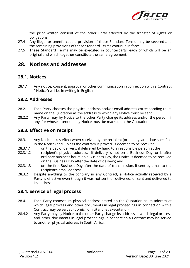

the prior written consent of the other Party affected by the transfer of rights or obligations.

- 27.4 Any illegal or unenforceable provision of these Standard Terms may be severed and the remaining provisions of these Standard Terms continue in force.
- 27.5 These Standard Terms may be executed in counterparts, each of which will be an original and which together constitute the same agreement.

# **28. Notices and addresses**

### **28.1. Notices**

28.1.1 Any notice, consent, approval or other communication in connection with a Contract ("Notice") will be in writing in English.

#### **28.2. Addresses**

- 28.2.1 Each Party chooses the physical address and/or email address corresponding to its name on the Quotation as the address to which any Notice must be sent.
- 28.2.2 Any Party may by Notice to the other Party change its address and/or the person, if any, for whose attention any Notice must be marked on the Quotation.

#### **28.3. Effective on receipt**

- 28.3.1 Any Notice takes effect when received by the recipient (or on any later date specified in the Notice) and, unless the contrary is proved, is deemed to be received:
- 28.3.1.1 on the day of delivery, if delivered by hand to a responsible person at the
- 28.3.1.2 recipient's physical address. If delivery is not on a Business Day, or is after ordinary business hours on a Business Day, the Notice is deemed to be received on the Business Day after the date of delivery; and
- 28.3.1.3 on the first Business Day after the date of transmission, if sent by email to the recipient's email address.
- 28.3.2 Despite anything to the contrary in any Contract, a Notice actually received by a Party is effective even though it was not sent, or delivered, or sent and delivered to its address.

### **28.4. Service of legal process**

- 28.4.1 Each Party chooses its physical address stated on the Quotation as its address at which legal process and other documents in legal proceedings in connection with a Contract may be served (domicilium citandi et executandi).
- 28.4.2 Any Party may by Notice to the other Party change its address at which legal process and other documents in legal proceedings in connection a Contract may be served to another physical address in South Africa.